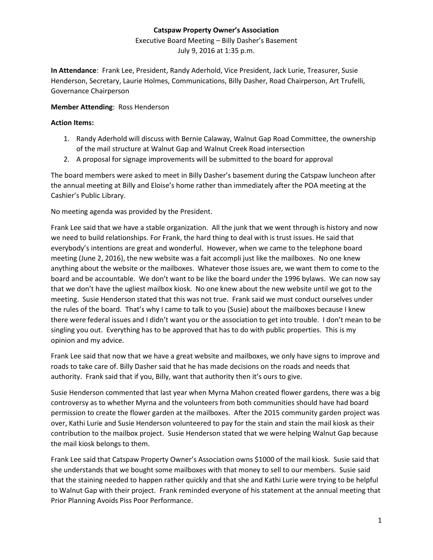# **Catspaw Property Owner's Association**

Executive Board Meeting – Billy Dasher's Basement July 9, 2016 at 1:35 p.m.

**In Attendance**: Frank Lee, President, Randy Aderhold, Vice President, Jack Lurie, Treasurer, Susie Henderson, Secretary, Laurie Holmes, Communications, Billy Dasher, Road Chairperson, Art Trufelli, Governance Chairperson

### **Member Attending**: Ross Henderson

#### **Action Items:**

- 1. Randy Aderhold will discuss with Bernie Calaway, Walnut Gap Road Committee, the ownership of the mail structure at Walnut Gap and Walnut Creek Road intersection
- 2. A proposal for signage improvements will be submitted to the board for approval

The board members were asked to meet in Billy Dasher's basement during the Catspaw luncheon after the annual meeting at Billy and Eloise's home rather than immediately after the POA meeting at the Cashier's Public Library.

No meeting agenda was provided by the President.

Frank Lee said that we have a stable organization. All the junk that we went through is history and now we need to build relationships. For Frank, the hard thing to deal with is trust issues. He said that everybody's intentions are great and wonderful. However, when we came to the telephone board meeting (June 2, 2016), the new website was a fait accompli just like the mailboxes. No one knew anything about the website or the mailboxes. Whatever those issues are, we want them to come to the board and be accountable. We don't want to be like the board under the 1996 bylaws. We can now say that we don't have the ugliest mailbox kiosk. No one knew about the new website until we got to the meeting. Susie Henderson stated that this was not true. Frank said we must conduct ourselves under the rules of the board. That's why I came to talk to you (Susie) about the mailboxes because I knew there were federal issues and I didn't want you or the association to get into trouble. I don't mean to be singling you out. Everything has to be approved that has to do with public properties. This is my opinion and my advice.

Frank Lee said that now that we have a great website and mailboxes, we only have signs to improve and roads to take care of. Billy Dasher said that he has made decisions on the roads and needs that authority. Frank said that if you, Billy, want that authority then it's ours to give.

Susie Henderson commented that last year when Myrna Mahon created flower gardens, there was a big controversy as to whether Myrna and the volunteers from both communities should have had board permission to create the flower garden at the mailboxes. After the 2015 community garden project was over, Kathi Lurie and Susie Henderson volunteered to pay for the stain and stain the mail kiosk as their contribution to the mailbox project. Susie Henderson stated that we were helping Walnut Gap because the mail kiosk belongs to them.

Frank Lee said that Catspaw Property Owner's Association owns \$1000 of the mail kiosk. Susie said that she understands that we bought some mailboxes with that money to sell to our members. Susie said that the staining needed to happen rather quickly and that she and Kathi Lurie were trying to be helpful to Walnut Gap with their project. Frank reminded everyone of his statement at the annual meeting that Prior Planning Avoids Piss Poor Performance.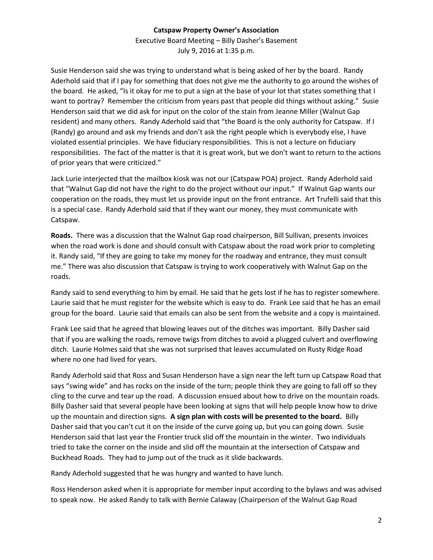## **Catspaw Property Owner's Association**

Executive Board Meeting – Billy Dasher's Basement July 9, 2016 at 1:35 p.m.

Susie Henderson said she was trying to understand what is being asked of her by the board. Randy Aderhold said that if I pay for something that does not give me the authority to go around the wishes of the board. He asked, "Is it okay for me to put a sign at the base of your lot that states something that I want to portray? Remember the criticism from years past that people did things without asking." Susie Henderson said that we did ask for input on the color of the stain from Jeanne Miller (Walnut Gap resident) and many others. Randy Aderhold said that "the Board is the only authority for Catspaw. If I (Randy) go around and ask my friends and don't ask the right people which is everybody else, I have violated essential principles. We have fiduciary responsibilities. This is not a lecture on fiduciary responsibilities. The fact of the matter is that it is great work, but we don't want to return to the actions of prior years that were criticized."

Jack Lurie interjected that the mailbox kiosk was not our (Catspaw POA) project. Randy Aderhold said that "Walnut Gap did not have the right to do the project without our input." If Walnut Gap wants our cooperation on the roads, they must let us provide input on the front entrance. Art Trufelli said that this is a special case. Randy Aderhold said that if they want our money, they must communicate with Catspaw.

**Roads.** There was a discussion that the Walnut Gap road chairperson, Bill Sullivan, presents invoices when the road work is done and should consult with Catspaw about the road work prior to completing it. Randy said, "If they are going to take my money for the roadway and entrance, they must consult me." There was also discussion that Catspaw is trying to work cooperatively with Walnut Gap on the roads.

Randy said to send everything to him by email. He said that he gets lost if he has to register somewhere. Laurie said that he must register for the website which is easy to do. Frank Lee said that he has an email group for the board. Laurie said that emails can also be sent from the website and a copy is maintained.

Frank Lee said that he agreed that blowing leaves out of the ditches was important. Billy Dasher said that if you are walking the roads, remove twigs from ditches to avoid a plugged culvert and overflowing ditch. Laurie Holmes said that she was not surprised that leaves accumulated on Rusty Ridge Road where no one had lived for years.

Randy Aderhold said that Ross and Susan Henderson have a sign near the left turn up Catspaw Road that says "swing wide" and has rocks on the inside of the turn; people think they are going to fall off so they cling to the curve and tear up the road. A discussion ensued about how to drive on the mountain roads. Billy Dasher said that several people have been looking at signs that will help people know how to drive up the mountain and direction signs. **A sign plan with costs will be presented to the board.** Billy Dasher said that you can't cut it on the inside of the curve going up, but you can going down. Susie Henderson said that last year the Frontier truck slid off the mountain in the winter. Two individuals tried to take the corner on the inside and slid off the mountain at the intersection of Catspaw and Buckhead Roads. They had to jump out of the truck as it slide backwards.

Randy Aderhold suggested that he was hungry and wanted to have lunch.

Ross Henderson asked when it is appropriate for member input according to the bylaws and was advised to speak now. He asked Randy to talk with Bernie Calaway (Chairperson of the Walnut Gap Road